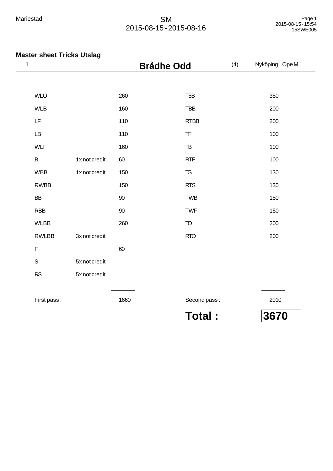| $\mathbf{1}$ |                        |               | <b>Brådhe Odd</b> |                                                  | (4) | Nyköping Ope M |
|--------------|------------------------|---------------|-------------------|--------------------------------------------------|-----|----------------|
|              |                        |               |                   |                                                  |     |                |
|              | <b>WLO</b>             |               | 260               | T <sub>5</sub> B                                 |     | 350            |
|              | <b>WLB</b>             |               | 160               | <b>TBB</b>                                       |     | 200            |
|              | LF                     |               | 110               | <b>RTBB</b>                                      |     | 200            |
|              | $\mathsf{L}\mathsf{B}$ |               | 110               | $\ensuremath{\mathsf{T}}\ensuremath{\mathsf{F}}$ |     | 100            |
|              | <b>WLF</b>             |               | 160               | $\mathsf{TB}$                                    |     | 100            |
|              | $\sf B$                | 1x not credit | 60                | <b>RTF</b>                                       |     | 100            |
|              | <b>WBB</b>             | 1x not credit | 150               | ${\tt TS}$                                       |     | 130            |
|              | <b>RWBB</b>            |               | 150               | <b>RTS</b>                                       |     | 130            |
|              | <b>BB</b>              |               | 90                | <b>TWB</b>                                       |     | 150            |
|              | <b>RBB</b>             |               | 90                | <b>TWF</b>                                       |     | 150            |
|              | <b>WLBB</b>            |               | 260               | $\mathsf T\!\mathsf O$                           |     | 200            |
|              | <b>RWLBB</b>           | 3x not credit |                   | <b>RTO</b>                                       |     | 200            |
|              | $\mathsf F$            |               | 60                |                                                  |     |                |
|              | $\mathsf S$            | 5x not credit |                   |                                                  |     |                |
|              | <b>RS</b>              | 5x not credit |                   |                                                  |     |                |
|              |                        |               |                   |                                                  |     |                |
|              | First pass:            |               | 1660              | Second pass:                                     |     | 2010           |
|              |                        |               |                   | <b>Total:</b>                                    |     | 3670           |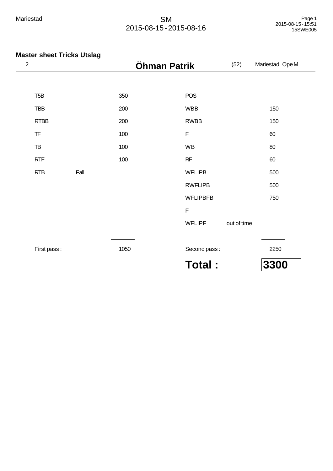| $\sqrt{2}$       |      | Öhman Patrik |                 | (52)        | Mariestad OpeM |
|------------------|------|--------------|-----------------|-------------|----------------|
|                  |      |              |                 |             |                |
| T <sub>5</sub> B |      | 350          | <b>POS</b>      |             |                |
| <b>TBB</b>       |      | 200          | <b>WBB</b>      |             | 150            |
| <b>RTBB</b>      |      | 200          | <b>RWBB</b>     |             | 150            |
| ${\sf TF}$       |      | 100          | F               |             | 60             |
| TB               |      | 100          | WB              |             | 80             |
| <b>RTF</b>       |      | 100          | RF              |             | 60             |
| <b>RTB</b>       | Fall |              | <b>WFLIPB</b>   |             | 500            |
|                  |      |              | <b>RWFLIPB</b>  |             | 500            |
|                  |      |              | <b>WFLIPBFB</b> |             | 750            |
|                  |      |              | $\mathsf F$     |             |                |
|                  |      |              | <b>WFLIPF</b>   | out of time |                |
|                  |      |              |                 |             |                |
| First pass:      |      | 1050         | Second pass:    |             | 2250           |
|                  |      |              | <b>Total:</b>   |             | 3300           |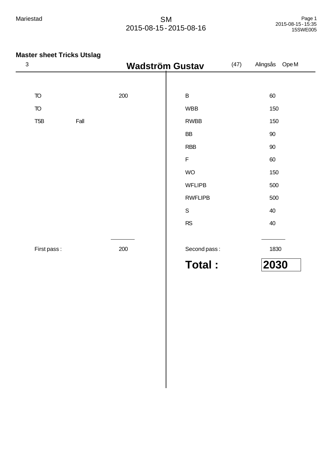| $\mathbf{3}$             | <b>Wadström Gustav</b> |     | (47)           | Alingsås OpeM |        |
|--------------------------|------------------------|-----|----------------|---------------|--------|
|                          |                        |     |                |               |        |
| $\mathsf{T}\!\mathsf{O}$ |                        | 200 | $\sf B$        |               | 60     |
| $\mathsf{T}\!\mathsf{O}$ |                        |     | <b>WBB</b>     |               | 150    |
| T <sub>5</sub> B         | Fall                   |     | <b>RWBB</b>    |               | 150    |
|                          |                        |     | BB             |               | $90\,$ |
|                          |                        |     | <b>RBB</b>     |               | $90\,$ |
|                          |                        |     | $\mathsf F$    |               | 60     |
|                          |                        |     | <b>WO</b>      |               | 150    |
|                          |                        |     | <b>WFLIPB</b>  |               | 500    |
|                          |                        |     | <b>RWFLIPB</b> |               | 500    |
|                          |                        |     | $\mathsf S$    |               | 40     |
|                          |                        |     | RS             |               | 40     |
|                          |                        |     |                |               |        |
| First pass:              |                        | 200 | Second pass:   |               | 1830   |
|                          |                        |     | <b>Total:</b>  |               | 2030   |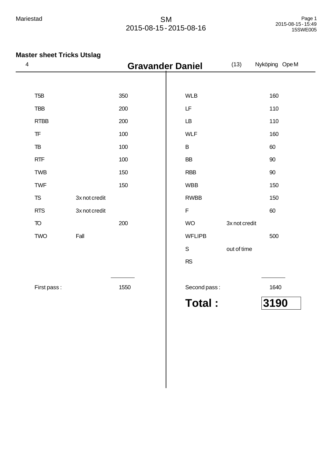| 4                                                |               | <b>Gravander Daniel</b> |               | (13)          | Nyköping OpeM |
|--------------------------------------------------|---------------|-------------------------|---------------|---------------|---------------|
|                                                  |               |                         |               |               |               |
| T <sub>5</sub> B                                 |               | 350                     | <b>WLB</b>    |               | 160           |
| <b>TBB</b>                                       |               | 200                     | LF            |               | 110           |
| <b>RTBB</b>                                      |               | 200                     | LB            |               | 110           |
| $\ensuremath{\mathsf{T}}\ensuremath{\mathsf{F}}$ |               | 100                     | <b>WLF</b>    |               | 160           |
| $\mathsf{T}\mathsf{B}$                           |               | 100                     | $\sf B$       |               | 60            |
| RTF                                              |               | 100                     | <b>BB</b>     |               | 90            |
| <b>TWB</b>                                       |               | 150                     | <b>RBB</b>    |               | $90\,$        |
| <b>TWF</b>                                       |               | 150                     | <b>WBB</b>    |               | 150           |
| ${\tt TS}$                                       | 3x not credit |                         | <b>RWBB</b>   |               | 150           |
| <b>RTS</b>                                       | 3x not credit |                         | $\mathsf F$   |               | 60            |
| $\overline{10}$                                  |               | 200                     | <b>WO</b>     | 3x not credit |               |
| <b>TWO</b>                                       | Fall          |                         | <b>WFLIPB</b> |               | 500           |
|                                                  |               |                         | $\mathsf S$   | out of time   |               |
|                                                  |               |                         | RS            |               |               |
|                                                  |               |                         |               |               |               |
| First pass:                                      |               | 1550                    | Second pass:  |               | 1640          |
|                                                  |               |                         | <b>Total:</b> |               | 3190          |
|                                                  |               |                         |               |               |               |
|                                                  |               |                         |               |               |               |